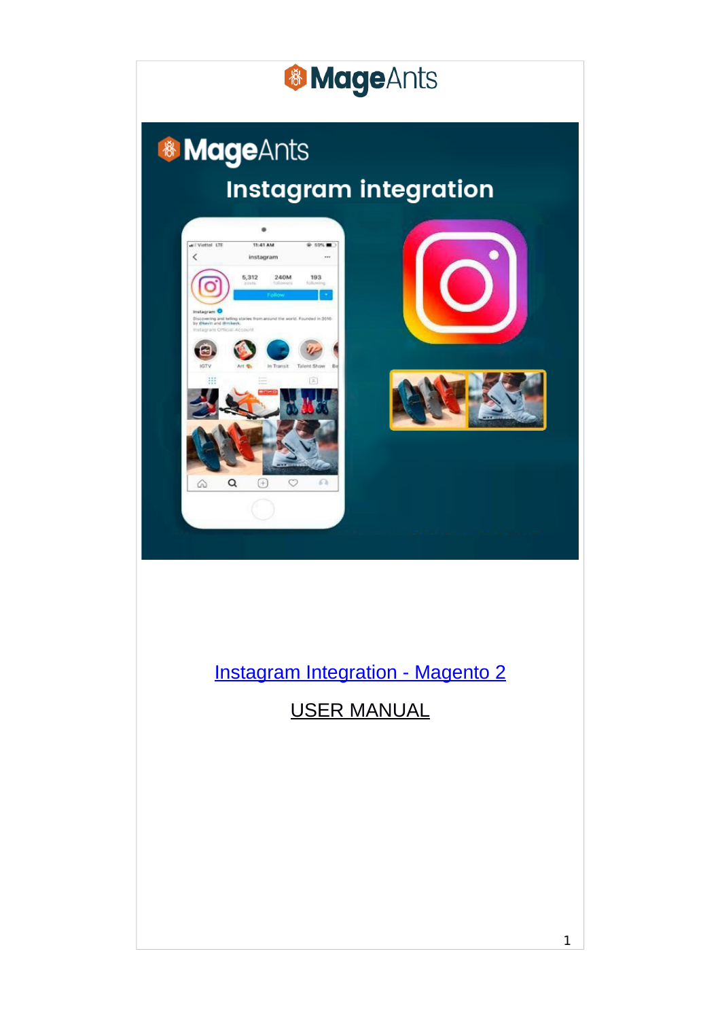

## & MageAnts **Instagram integration**



### Instagram Integration - Magento 2

USER MANUAL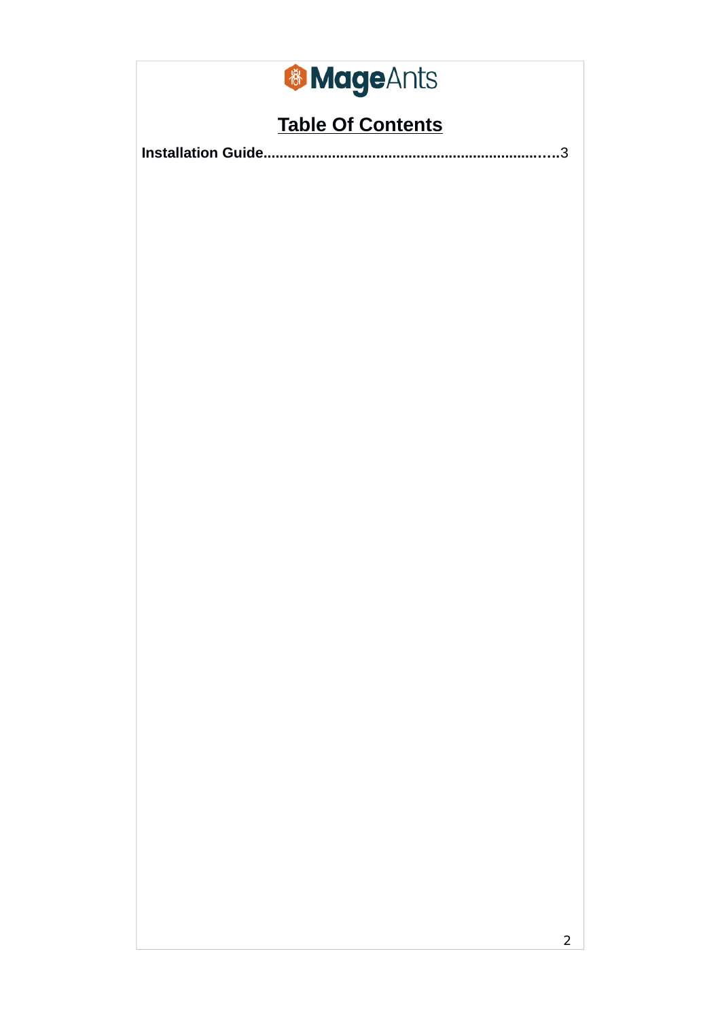# & MageAnts

## **Table Of Contents**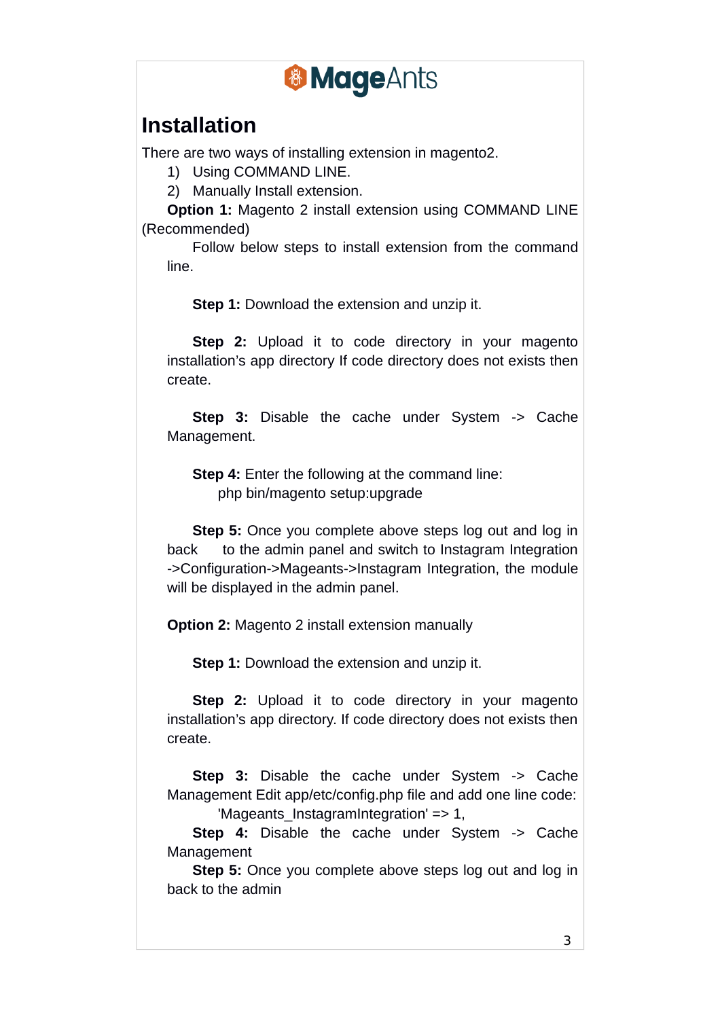

## **Installation**

There are two ways of installing extension in magento2.

1) Using COMMAND LINE.

2) Manually Install extension.

**Option 1:** Magento 2 install extension using COMMAND LINE (Recommended)

Follow below steps to install extension from the command line.

**Step 1:** Download the extension and unzip it.

**Step 2:** Upload it to code directory in your magento installation's app directory If code directory does not exists then create.

**Step 3:** Disable the cache under System -> Cache Management.

**Step 4:** Enter the following at the command line: php bin/magento setup:upgrade

**Step 5:** Once you complete above steps log out and log in back to the admin panel and switch to Instagram Integration ->Configuration->Mageants->Instagram Integration, the module will be displayed in the admin panel.

**Option 2:** Magento 2 install extension manually

**Step 1:** Download the extension and unzip it.

**Step 2:** Upload it to code directory in your magento installation's app directory. If code directory does not exists then create.

**Step 3:** Disable the cache under System -> Cache Management Edit app/etc/config.php file and add one line code: 'Mageants\_InstagramIntegration' => 1,

**Step 4:** Disable the cache under System -> Cache Management

**Step 5:** Once you complete above steps log out and log in back to the admin